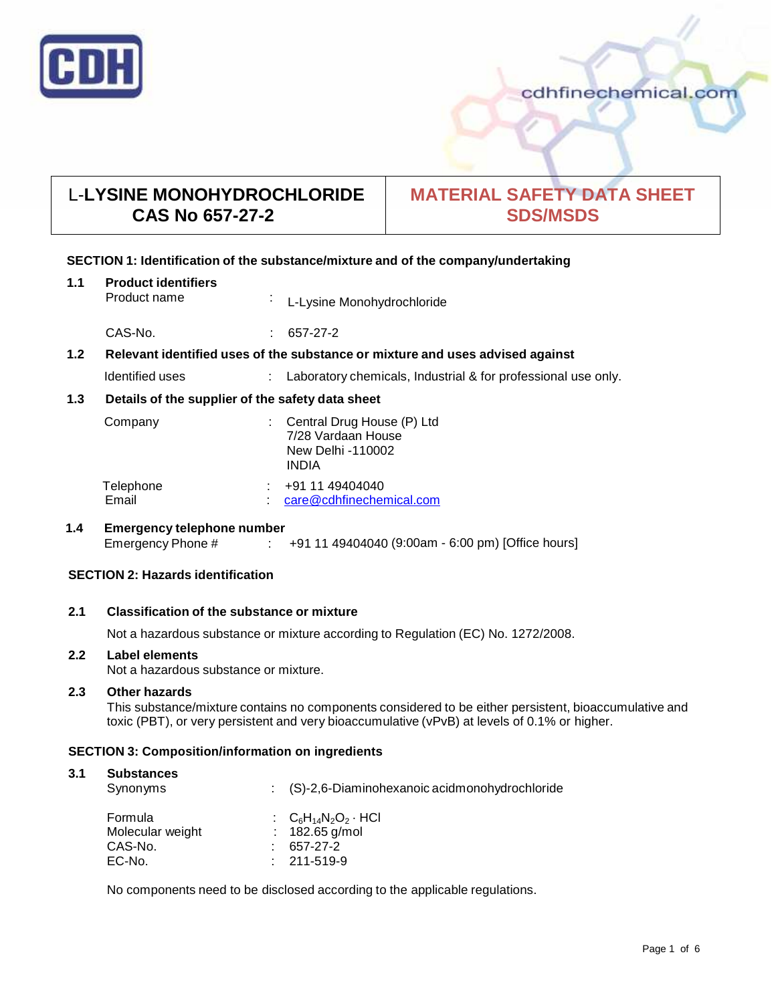

## cdhfinechemical.com

# L-**LYSINE MONOHYDROCHLORIDE CAS No 657-27-2**

# **MATERIAL SAFETY DATA SHEET SDS/MSDS**

#### **SECTION 1: Identification of the substance/mixture and of the company/undertaking**

| 1.1 | <b>Product identifiers</b><br>Product name                                    | $\bullet$ | L-Lysine Monohydrochloride                                                     |
|-----|-------------------------------------------------------------------------------|-----------|--------------------------------------------------------------------------------|
|     | CAS-No.                                                                       |           | 657-27-2                                                                       |
| 1.2 | Relevant identified uses of the substance or mixture and uses advised against |           |                                                                                |
|     | Identified uses                                                               | ÷         | Laboratory chemicals, Industrial & for professional use only.                  |
| 1.3 | Details of the supplier of the safety data sheet                              |           |                                                                                |
|     | Company                                                                       |           | Central Drug House (P) Ltd<br>7/28 Vardaan House<br>New Delhi -110002<br>INDIA |
|     | Telephone<br>Email                                                            |           | +91 11 49404040<br>care@cdhfinechemical.com                                    |
| 1.4 | <b>Emergency telephone number</b>                                             |           |                                                                                |

# **SECTION 2: Hazards identification**

### **2.1 Classification of the substance ormixture**

Not a hazardous substance or mixture according to Regulation (EC) No. 1272/2008.

Emergency Phone # : +91 11 49404040 (9:00am - 6:00 pm) [Office hours]

#### **2.2 Label elements**

Not a hazardous substance or mixture.

#### **2.3 Other hazards**

This substance/mixture contains no components considered to be either persistent, bioaccumulative and toxic (PBT), or very persistent and very bioaccumulative (vPvB) at levels of 0.1% or higher.

#### **SECTION 3: Composition/information on ingredients**

#### **3.1 Substances** Synonyms : (S)-2,6-Diaminohexanoic acidmonohydrochloride **Formula** Molecular weight CAS-No. : :  $C_6H_{14}N_2O_2 \cdot HCl$ 182.65 g/mol 657-27-2  $: 211 - 519 - 9$

No components need to be disclosed according to the applicable regulations.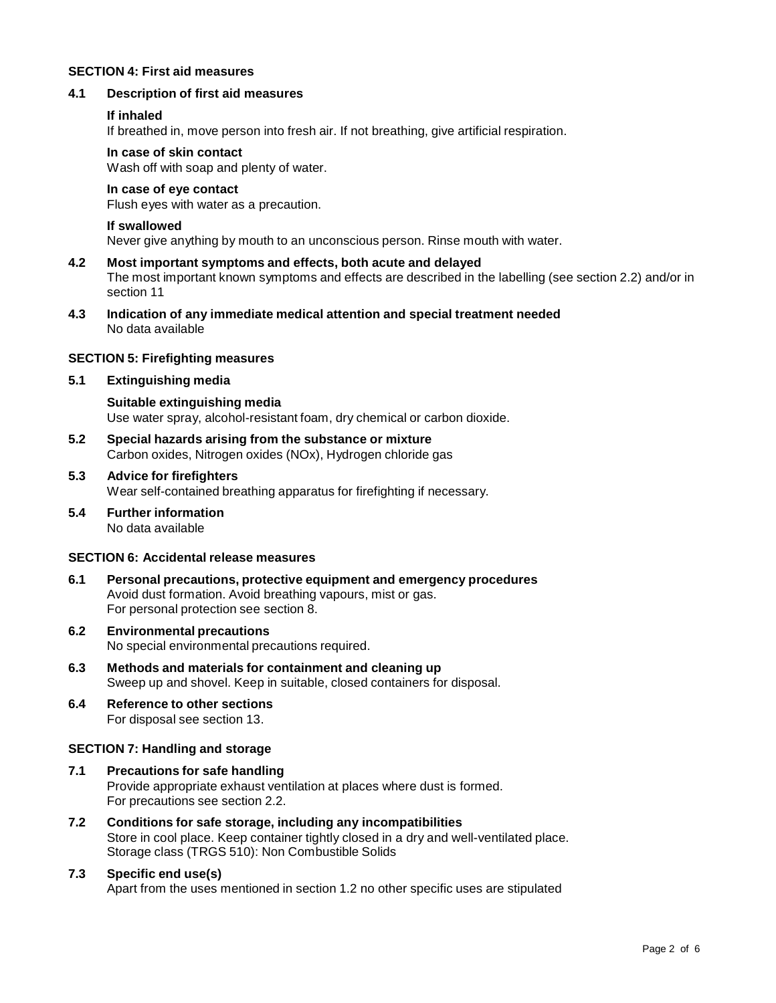#### **SECTION 4: First aid measures**

#### **4.1 Description of first aid measures**

#### **If inhaled**

If breathed in, move person into fresh air. If not breathing, give artificial respiration.

#### **In case of skin contact**

Wash off with soap and plenty of water.

#### **In case of eye contact**

Flush eyes with water as a precaution.

#### **If swallowed**

Never give anything by mouth to an unconscious person. Rinse mouth with water.

#### **4.2 Most important symptoms and effects, both acute and delayed** The most important known symptoms and effects are described in the labelling (see section 2.2) and/or in section 11

**4.3 Indication of any immediate medical attention and special treatment needed** No data available

#### **SECTION 5: Firefighting measures**

#### **5.1 Extinguishing media**

**Suitable extinguishing media** Use water spray, alcohol-resistant foam, dry chemical or carbon dioxide.

- **5.2 Special hazards arising from the substance ormixture** Carbon oxides, Nitrogen oxides (NOx), Hydrogen chloride gas
- **5.3 Advice for firefighters** Wear self-contained breathing apparatus for firefighting if necessary.
- **5.4 Further information** No data available

#### **SECTION 6: Accidental release measures**

- **6.1 Personal precautions, protective equipment and emergency procedures** Avoid dust formation. Avoid breathing vapours, mist or gas. For personal protection see section 8.
- **6.2 Environmental precautions** No special environmental precautions required.
- **6.3 Methods and materials for containment and cleaning up** Sweep up and shovel. Keep in suitable, closed containers for disposal.
- **6.4 Reference to other sections** For disposal see section 13.

#### **SECTION 7: Handling and storage**

- **7.1 Precautions for safe handling** Provide appropriate exhaust ventilation at places where dust is formed. For precautions see section 2.2.
- **7.2 Conditions for safe storage, including any incompatibilities** Store in cool place. Keep container tightly closed in a dry and well-ventilated place. Storage class (TRGS 510): Non Combustible Solids

#### **7.3 Specific end use(s)**

Apart from the uses mentioned in section 1.2 no other specific uses are stipulated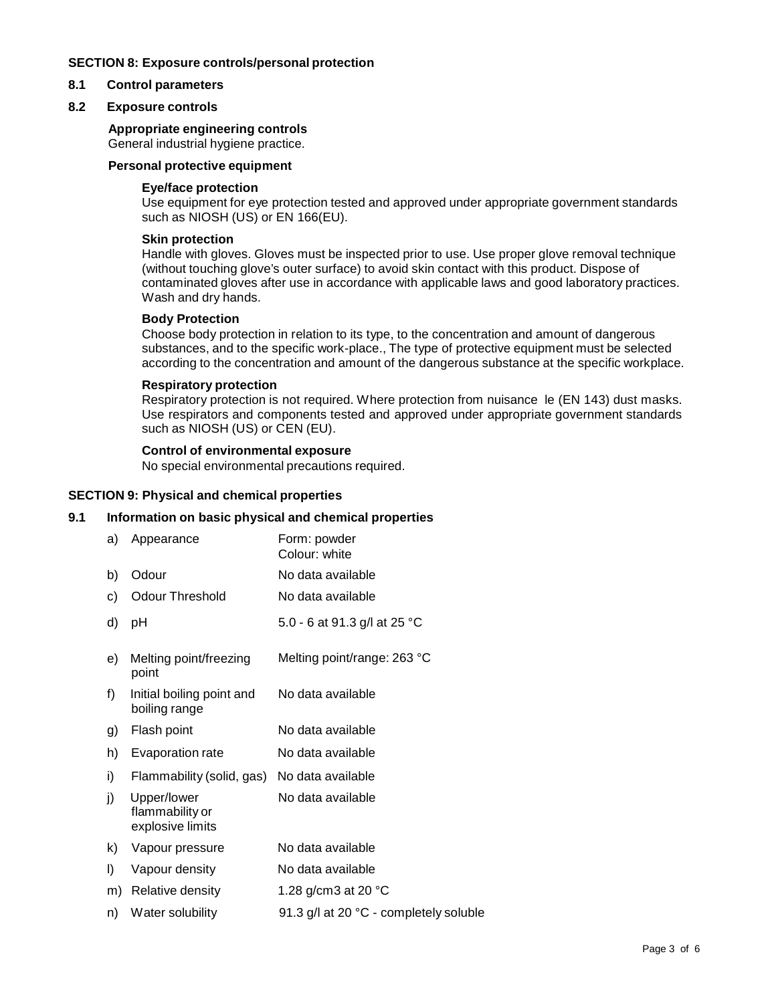#### **SECTION 8: Exposure controls/personal protection**

#### **8.1 Control parameters**

#### **8.2 Exposure controls**

#### **Appropriate engineering controls**

General industrial hygiene practice.

#### **Personal protective equipment**

#### **Eye/face protection**

Use equipment for eye protection tested and approved under appropriate government standards such as NIOSH (US) or EN 166(EU).

#### **Skin protection**

Handle with gloves. Gloves must be inspected prior to use. Use proper glove removal technique (without touching glove's outer surface) to avoid skin contact with this product. Dispose of contaminated gloves after use in accordance with applicable laws and good laboratory practices. Wash and dry hands.

#### **Body Protection**

Choose body protection in relation to its type, to the concentration and amount of dangerous substances, and to the specific work-place., The type of protective equipment must be selected according to the concentration and amount of the dangerous substance at the specific workplace.

#### **Respiratory protection**

Respiratory protection is not required. Where protection from nuisance le (EN 143) dust masks. Use respirators and components tested and approved under appropriate government standards such as NIOSH (US) or CEN (EU).

#### **Control of environmental exposure**

No special environmental precautions required.

#### **SECTION 9: Physical and chemical properties**

#### **9.1 Information on basic physical and chemical properties**

| a) | Appearance                                         | Form: powder<br>Colour: white          |
|----|----------------------------------------------------|----------------------------------------|
| b) | Odour                                              | No data available                      |
| c) | <b>Odour Threshold</b>                             | No data available                      |
| d) | рH                                                 | 5.0 - 6 at 91.3 g/l at 25 °C           |
| e) | Melting point/freezing<br>point                    | Melting point/range: 263 °C            |
| f) | Initial boiling point and<br>boiling range         | No data available                      |
| g) | Flash point                                        | No data available                      |
| h) | Evaporation rate                                   | No data available                      |
| i) | Flammability (solid, gas)                          | No data available                      |
| j) | Upper/lower<br>flammability or<br>explosive limits | No data available                      |
| k) | Vapour pressure                                    | No data available                      |
| I) | Vapour density                                     | No data available                      |
| m) | Relative density                                   | 1.28 g/cm3 at 20 $^{\circ}$ C          |
| n) | Water solubility                                   | 91.3 g/l at 20 °C - completely soluble |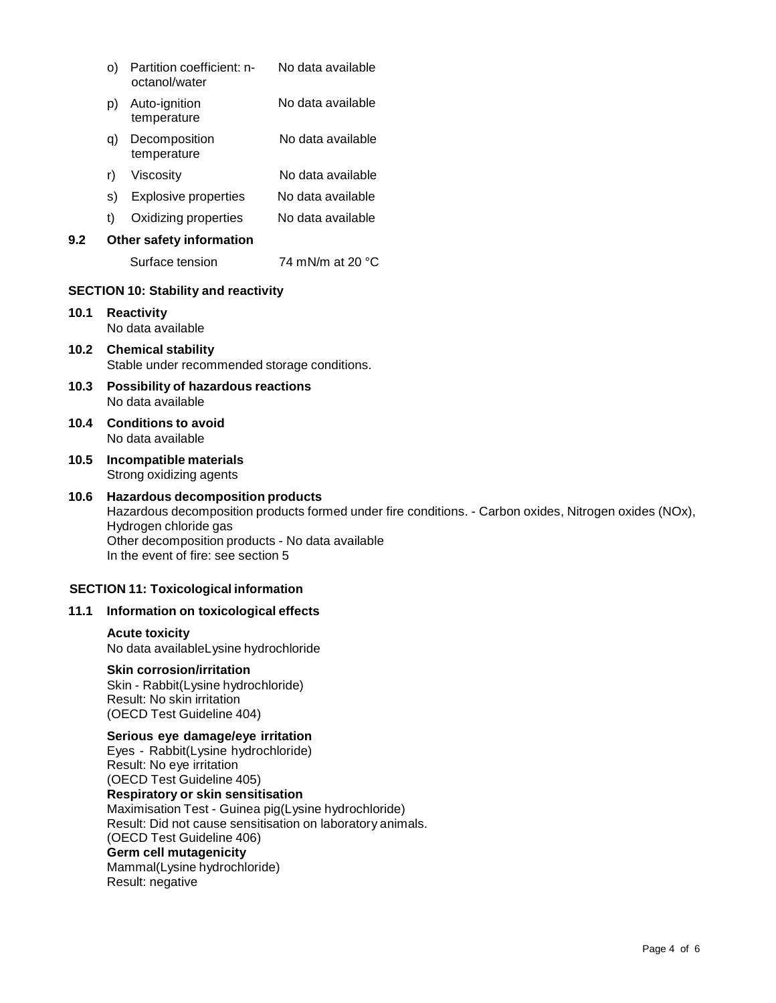|      | O)                                                                        | Partition coefficient: n-<br>octanol/water                                                                                                                  | No data available                                                                                      |  |  |
|------|---------------------------------------------------------------------------|-------------------------------------------------------------------------------------------------------------------------------------------------------------|--------------------------------------------------------------------------------------------------------|--|--|
|      | p)                                                                        | Auto-ignition<br>temperature                                                                                                                                | No data available                                                                                      |  |  |
|      | q)                                                                        | Decomposition<br>temperature                                                                                                                                | No data available                                                                                      |  |  |
|      | r)                                                                        | Viscosity                                                                                                                                                   | No data available                                                                                      |  |  |
|      | S)                                                                        | <b>Explosive properties</b>                                                                                                                                 | No data available                                                                                      |  |  |
|      | t)                                                                        | Oxidizing properties                                                                                                                                        | No data available                                                                                      |  |  |
| 9.2  |                                                                           | Other safety information                                                                                                                                    |                                                                                                        |  |  |
|      |                                                                           | Surface tension                                                                                                                                             | 74 mN/m at 20 °C                                                                                       |  |  |
|      |                                                                           | <b>SECTION 10: Stability and reactivity</b>                                                                                                                 |                                                                                                        |  |  |
| 10.1 | <b>Reactivity</b><br>No data available                                    |                                                                                                                                                             |                                                                                                        |  |  |
| 10.2 | <b>Chemical stability</b><br>Stable under recommended storage conditions. |                                                                                                                                                             |                                                                                                        |  |  |
| 10.3 | Possibility of hazardous reactions<br>No data available                   |                                                                                                                                                             |                                                                                                        |  |  |
| 10.4 | <b>Conditions to avoid</b><br>No data available                           |                                                                                                                                                             |                                                                                                        |  |  |
| 10.5 |                                                                           | Incompatible materials<br>Strong oxidizing agents                                                                                                           |                                                                                                        |  |  |
| 10.6 |                                                                           | <b>Hazardous decomposition products</b><br>Hydrogen chloride gas<br>Other decomposition products - No data available<br>In the event of fire: see section 5 | Hazardous decomposition products formed under fire conditions. - Carbon oxides, Nitrogen oxides (NOx), |  |  |
|      |                                                                           | <b>SECTION 11: Toxicological information</b>                                                                                                                |                                                                                                        |  |  |
| 11.1 |                                                                           | Information on toxicological effects                                                                                                                        |                                                                                                        |  |  |
|      |                                                                           | <b>Acute toxicity</b><br>No data availableLysine hydrochloride                                                                                              |                                                                                                        |  |  |
|      |                                                                           | <b>Skin corrosion/irritation</b><br>Skin - Rabbit(Lysine hydrochloride)<br>Result: No skin irritation<br>(OECD Test Guideline 404)                          |                                                                                                        |  |  |

#### **Serious eye damage/eye irritation** Eyes - Rabbit(Lysine hydrochloride) Result: No eye irritation (OECD Test Guideline 405) **Respiratory orskin sensitisation** Maximisation Test - Guinea pig(Lysine hydrochloride) Result: Did not cause sensitisation on laboratory animals. (OECD Test Guideline 406) **Germ cell mutagenicity** Mammal(Lysine hydrochloride) Result: negative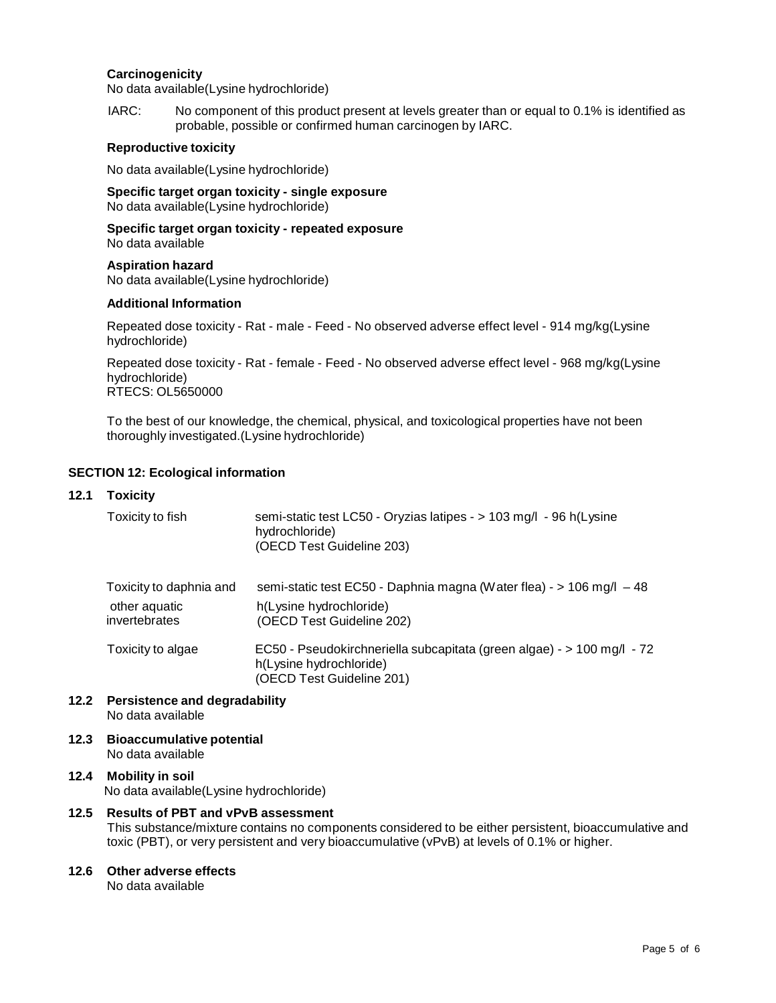#### **Carcinogenicity**

No data available(Lysine hydrochloride)

IARC: No component of this product present at levels greater than or equal to 0.1% is identified as probable, possible or confirmed human carcinogen by IARC.

#### **Reproductive toxicity**

No data available(Lysine hydrochloride)

**Specific target organ toxicity - single exposure** No data available(Lysine hydrochloride)

**Specific target organ toxicity - repeated exposure** No data available

**Aspiration hazard** No data available(Lysine hydrochloride)

#### **Additional Information**

Repeated dose toxicity - Rat - male - Feed - No observed adverse effect level - 914 mg/kg(Lysine hydrochloride)

Repeated dose toxicity - Rat - female - Feed - No observed adverse effect level - 968 mg/kg(Lysine hydrochloride) RTECS: OL5650000

To the best of our knowledge, the chemical, physical, and toxicological properties have not been thoroughly investigated.(Lysine hydrochloride)

#### **SECTION 12: Ecological information**

#### **12.1 Toxicity**

| Toxicity to fish        | semi-static test LC50 - Oryzias latipes - > 103 mg/l - 96 h(Lysine<br>hydrochloride)<br>(OECD Test Guideline 203)              |
|-------------------------|--------------------------------------------------------------------------------------------------------------------------------|
| Toxicity to daphnia and | semi-static test EC50 - Daphnia magna (Water flea) - > 106 mg/l - 48                                                           |
| other aquatic           | h(Lysine hydrochloride)                                                                                                        |
| invertebrates           | (OECD Test Guideline 202)                                                                                                      |
| Toxicity to algae       | EC50 - Pseudokirchneriella subcapitata (green algae) - > 100 mg/l - 72<br>h(Lysine hydrochloride)<br>(OECD Test Guideline 201) |

- **12.2 Persistence and degradability** No data available
- **12.3 Bioaccumulative potential** No data available

#### **12.4 Mobility in soil** No data available(Lysine hydrochloride)

#### **12.5 Results of PBT and vPvB assessment**

This substance/mixture contains no components considered to be either persistent, bioaccumulative and toxic (PBT), or very persistent and very bioaccumulative (vPvB) at levels of 0.1% or higher.

#### **12.6 Other adverse effects**

No data available